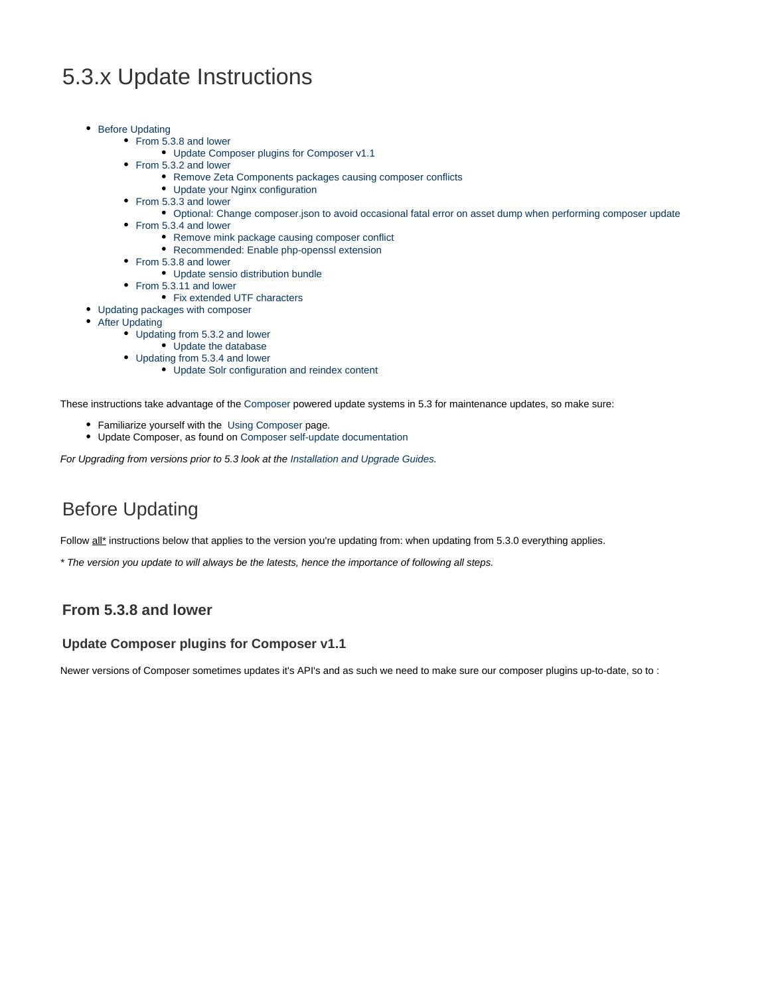# 5.3.x Update Instructions

- [Before Updating](#page-0-0)
	- [From 5.3.8 and lower](#page-0-1)
		- [Update Composer plugins for Composer v1.1](#page-0-2)
	- [From 5.3.2 and lower](#page-1-0)
		- [Remove Zeta Components packages causing composer conflicts](#page-1-1)
		- [Update your Nginx configuration](#page-1-2)
	- [From 5.3.3 and lower](#page-1-3)
		- [Optional: Change composer.json to avoid occasional fatal error on asset dump when performing composer update](#page-1-4)
	- [From 5.3.4 and lower](#page-1-5)
		- [Remove mink package causing composer conflict](#page-2-0)
		- [Recommended: Enable php-openssl extension](#page-2-1)
	- [From 5.3.8 and lower](#page-2-2)
		- [Update sensio distribution bundle](#page-2-3)
	- [From 5.3.11 and lower](#page-2-4)
		- [Fix extended UTF characters](#page-2-5)
- [Updating packages with composer](#page-2-6)
- [After Updating](#page-3-0)
	- [Updating from 5.3.2 and lower](#page-3-1)
		- [Update the database](#page-3-2)
	- [Updating from 5.3.4 and lower](#page-3-3)
		- [Update Solr configuration and reindex content](#page-3-4)

These instructions take advantage of the [Composer](https://getcomposer.org/) powered update systems in 5.3 for maintenance updates, so make sure:

- Familiarize yourself with the [Using Composer](https://doc.ez.no/display/EZP/Using+Composer) page.
- Update Composer, as found on [Composer self-update documentation](https://getcomposer.org/doc/03-cli.md#self-update)

For Upgrading from versions prior to 5.3 look at the [Installation and Upgrade Guides](https://doc.ez.no/display/EZP/Installation+and+Upgrade+Guides).

# <span id="page-0-0"></span>Before Updating

Follow all\* instructions below that applies to the version you're updating from: when updating from 5.3.0 everything applies.

\* The version you update to will always be the latests, hence the importance of following all steps.

# <span id="page-0-1"></span>**From 5.3.8 and lower**

#### <span id="page-0-2"></span>**Update Composer plugins for Composer v1.1**

Newer versions of Composer sometimes updates it's API's and as such we need to make sure our composer plugins up-to-date, so to :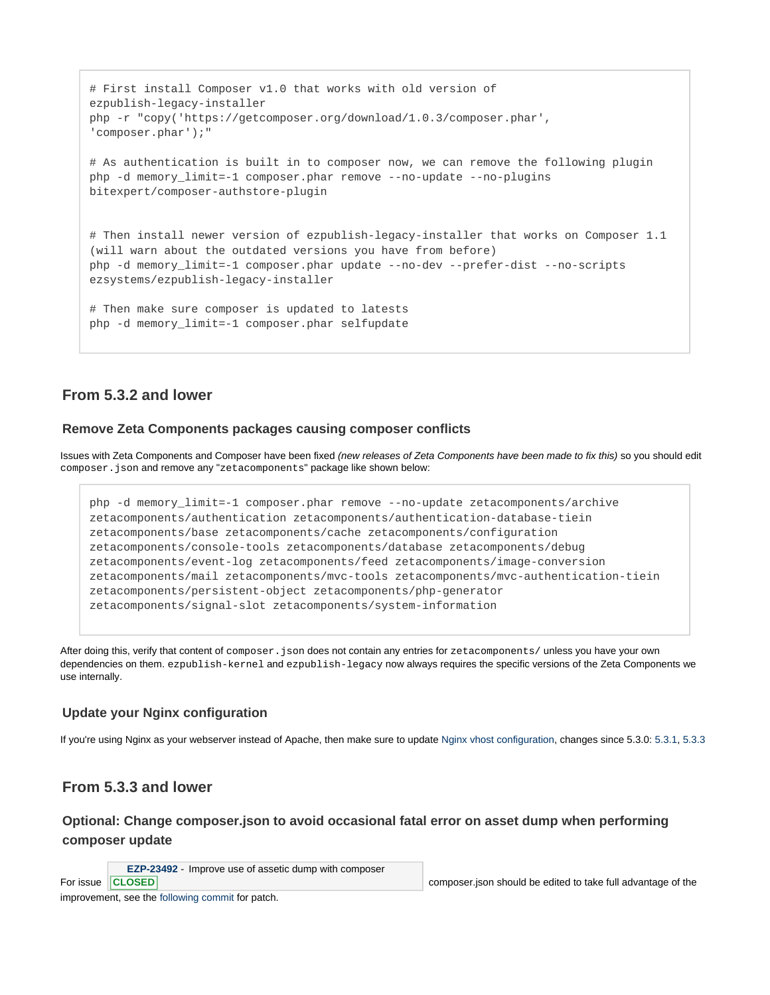```
# First install Composer v1.0 that works with old version of
ezpublish-legacy-installer
php -r "copy('https://getcomposer.org/download/1.0.3/composer.phar',
'composer.phar');"
# As authentication is built in to composer now, we can remove the following plugin
php -d memory_limit=-1 composer.phar remove --no-update --no-plugins
bitexpert/composer-authstore-plugin
# Then install newer version of ezpublish-legacy-installer that works on Composer 1.1
(will warn about the outdated versions you have from before)
php -d memory_limit=-1 composer.phar update --no-dev --prefer-dist --no-scripts
ezsystems/ezpublish-legacy-installer
# Then make sure composer is updated to latests
php -d memory_limit=-1 composer.phar selfupdate
```
# <span id="page-1-0"></span>**From 5.3.2 and lower**

### <span id="page-1-1"></span>**Remove Zeta Components packages causing composer conflicts**

Issues with Zeta Components and Composer have been fixed (new releases of Zeta Components have been made to fix this) so you should edit composer.json and remove any "zetacomponents" package like shown below:

```
php -d memory_limit=-1 composer.phar remove --no-update zetacomponents/archive
zetacomponents/authentication zetacomponents/authentication-database-tiein
zetacomponents/base zetacomponents/cache zetacomponents/configuration
zetacomponents/console-tools zetacomponents/database zetacomponents/debug
zetacomponents/event-log zetacomponents/feed zetacomponents/image-conversion
zetacomponents/mail zetacomponents/mvc-tools zetacomponents/mvc-authentication-tiein
zetacomponents/persistent-object zetacomponents/php-generator
zetacomponents/signal-slot zetacomponents/system-information
```
After doing this, verify that content of composer. json does not contain any entries for zetacomponents/ unless you have your own dependencies on them. ezpublish-kernel and ezpublish-legacy now always requires the specific versions of the Zeta Components we use internally.

### <span id="page-1-2"></span>**Update your Nginx configuration**

If you're using Nginx as your webserver instead of Apache, then make sure to update [Nginx vhost configuration,](https://doc.ez.no/display/EZP/Nginx) changes since 5.3.0: [5.3.1,](https://github.com/ezsystems/ezpublish-community/commit/d157a4ecb3ddf7a382519fbb43ce311335cd8185) [5.3.3](https://github.com/ezsystems/ezpublish-community/commit/db5e0d4af62112e423cac6930f0549364438f756) 

# <span id="page-1-3"></span>**From 5.3.3 and lower**

## <span id="page-1-4"></span>**Optional: Change composer.json to avoid occasional fatal error on asset dump when performing composer update**

**[EZP-23492](https://jira.ez.no/browse/EZP-23492)** - Improve use of assetic dump with composer

```
CLOSED
```
<span id="page-1-5"></span>improvement, see the [following commit](https://github.com/ezsystems/ezpublish-community/commit/ca78183990c12d3f2f32c3e59f0b253a09e1f8dd) for patch.

For issue CLOSED CONSERVIEW COMPOSER. The composer.json should be edited to take full advantage of the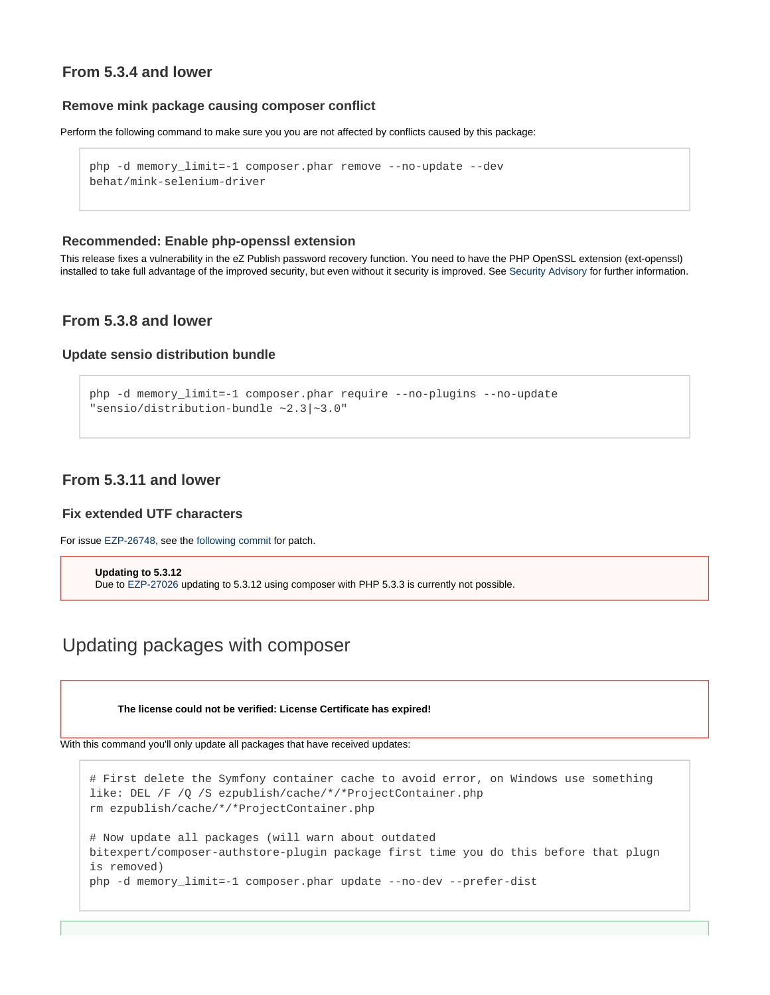# **From 5.3.4 and lower**

#### <span id="page-2-0"></span>**Remove mink package causing composer conflict**

Perform the following command to make sure you you are not affected by conflicts caused by this package:

```
php -d memory_limit=-1 composer.phar remove --no-update --dev
behat/mink-selenium-driver
```
#### <span id="page-2-1"></span>**Recommended: Enable php-openssl extension**

This release fixes a vulnerability in the eZ Publish password recovery function. You need to have the PHP OpenSSL extension (ext-openssl) installed to take full advantage of the improved security, but even without it security is improved. See [Security Advisory](http://share.ez.no/community-project/security-advisories/ezsa-2015-001-potential-vulnerability-in-ez-publish-password-recovery) for further information.

## <span id="page-2-2"></span>**From 5.3.8 and lower**

#### <span id="page-2-3"></span>**Update sensio distribution bundle**

```
php -d memory_limit=-1 composer.phar require --no-plugins --no-update
"sensio/distribution-bundle ~2.3|~3.0"
```
## <span id="page-2-4"></span>**From 5.3.11 and lower**

### <span id="page-2-5"></span>**Fix extended UTF characters**

For issue [EZP-26748,](https://jira.ez.no/browse/EZP-26748) see the [following commit](https://github.com/ezsystems/ezpublish-platform/commit/51fee6a9616f31bb1cd8f55e1463c50a3b6a6f5d) for patch.

```
Updating to 5.3.12
Due to EZP-27026 updating to 5.3.12 using composer with PHP 5.3.3 is currently not possible.
```
# <span id="page-2-6"></span>Updating packages with composer

**The license could not be verified: License Certificate has expired!**

With this command you'll only update all packages that have received updates:

```
# First delete the Symfony container cache to avoid error, on Windows use something
like: DEL /F /Q /S ezpublish/cache/*/*ProjectContainer.php
rm ezpublish/cache/*/*ProjectContainer.php
# Now update all packages (will warn about outdated
bitexpert/composer-authstore-plugin package first time you do this before that plugn
is removed)
php -d memory_limit=-1 composer.phar update --no-dev --prefer-dist
```